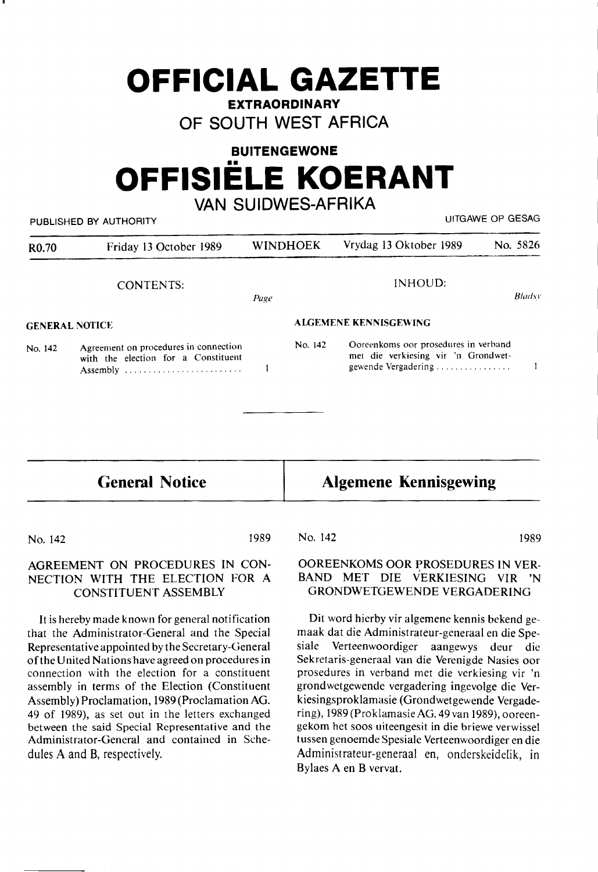# **OFFICIAL GAZETTE**

**EXTRAORDINARY** 

**OF SOUTH WEST AFRICA** 

## **BUITENGEWONE OFFISIELE KOERANT**

## **VAN SUIDWES-AFRIKA**

| UITGAWE OP GESAG<br>PUBLISHED BY AUTHORITY |                                                                                          |                       |         |                                                                                                    |          |
|--------------------------------------------|------------------------------------------------------------------------------------------|-----------------------|---------|----------------------------------------------------------------------------------------------------|----------|
| R <sub>0.70</sub>                          | Friday 13 October 1989                                                                   | <b>WINDHOEK</b>       |         | Vrydag 13 Oktober 1989                                                                             | No. 5826 |
|                                            | <b>CONTENTS:</b>                                                                         | Page                  |         | INHOUD:                                                                                            | Bladsy   |
| <b>GENERAL NOTICE</b>                      |                                                                                          | ALGEMENE KENNISGEWING |         |                                                                                                    |          |
| No. 142                                    | Agreement on procedures in connection<br>with the election for a Constituent<br>Assembly |                       | No. 142 | Ooreenkoms oor prosedures in verband<br>met die verkiesing vir 'n Grondwet-<br>gewende Vergadering |          |
|                                            |                                                                                          |                       |         |                                                                                                    |          |

## **General Notice**

**Algemene Kennisgewing** 

No. 142

1989

### AGREEMENT ON PROCEDURES IN CON-NECTION WITH THE ELECTION FOR A CONSTITUENT ASSEMBLY

It is hereby made known for general notification that the Administrator-General and the Special Representative appointed by the Secretary-General of the United Nations have agreed on procedures in connection with the election for a constituent assembly in terms of the Election (Constituent Assembly) Proclamation, 1989 (Proclamation AG. 49 of 1989), as set out in the letters exchanged between the said Special Representative and the Administrator-General and contained in Schedules A and B, respectively.

#### No. 142 1989

OOREENKOMS OOR PROSEDURES IN VER-BAND MET DIE VERKIESING VIR 'N GRONDWETGEWENDE VERGADERING

Dit word hierby vir algemene kennis bekend gemaak dat die Administrateur-generaal en die Spesiale Verteenwoordiger aangewys deur die Sekretaris-generaal van die Verenigde Nasies oor prosedures in verband met die verkiesing vir 'n grondwetgewende vergadering ingevolge die Verkiesingsproklamasie (Grondwetgewende Vergadering), 1989 (Proklamasie AG. 49 van 1989), ooreengekom het soos uiteengesit in die briewe verwissel tussen genoemde Spesiale Verteenwoordiger en die Administrateur-generaal en, onderskeidelik, in Bylaes A en B vervat.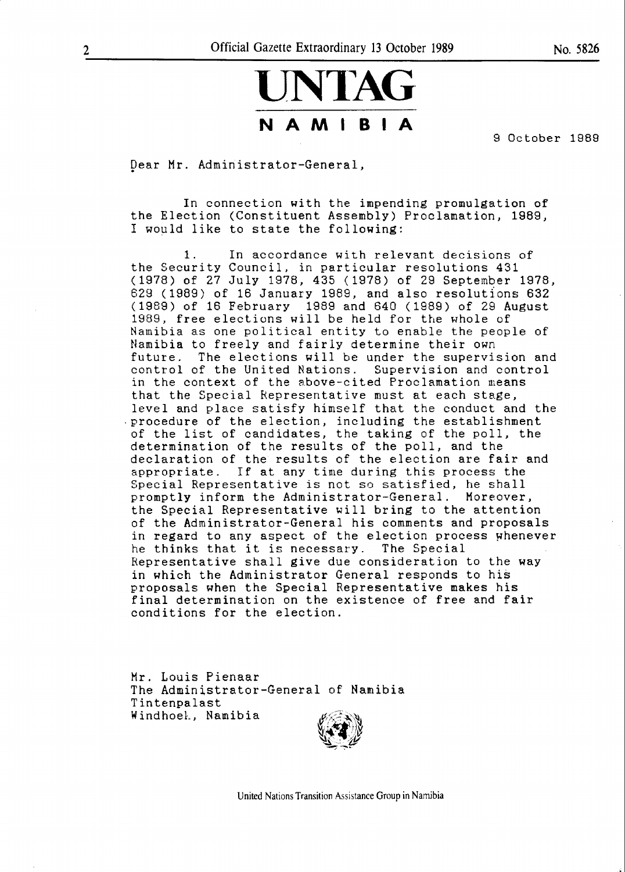## **UNTAG NAMIBIA**

9 October 1989

Dear Mr. Administrator-General,

In connection with the impending promulgation of the Election (Constituent Assembly) Proclamation, 1989, I would like to state the following:

1. In accordance with relevant decisions of the Security Council, in particular resolutions 431 (1978) of 27 July 1978, 435 (1978) of 29 September 1978, 629 (1989) of 16 January 1989, and also resolutions 632 (1989) of 16 February 1989 and 640 (1989) of 29 August 1989, free elections will be held for the whole of Namibia as one political entity to enable the people of Namibia to freely and fairly determine their own future. The elections will be under the supervision and control of the United Nations. Supervision and control in the context of the above-cited Proclamation means that the Special Representative must at each stage, level and place satisfy himself that the conduct and the .procedure of the election, including the establishment of the list of candidates, the taking of the poll, the determination of the results of the poll, and the declaration of the results of the election are fair and appropriate. If at any time during this process the Special Representative is not so satisfied, he shall promptly inform the Administrator-General. Moreover, the Special Representative will bring to the attention of the Administrator-General his comments and proposals in regard to any aspect of the election process whenever<br>he thinks that it is necessary. The Special he thinks that it is necessary. Representative shall give due consideration to the way in which the Administrator General responds to his proposals when the Special Representative makes his final determination on the existence of free and fair conditions for the election.

Mr. Louis Pienaar The Administrator-General of Namibia Tintenpalast Windhoek, Namibia

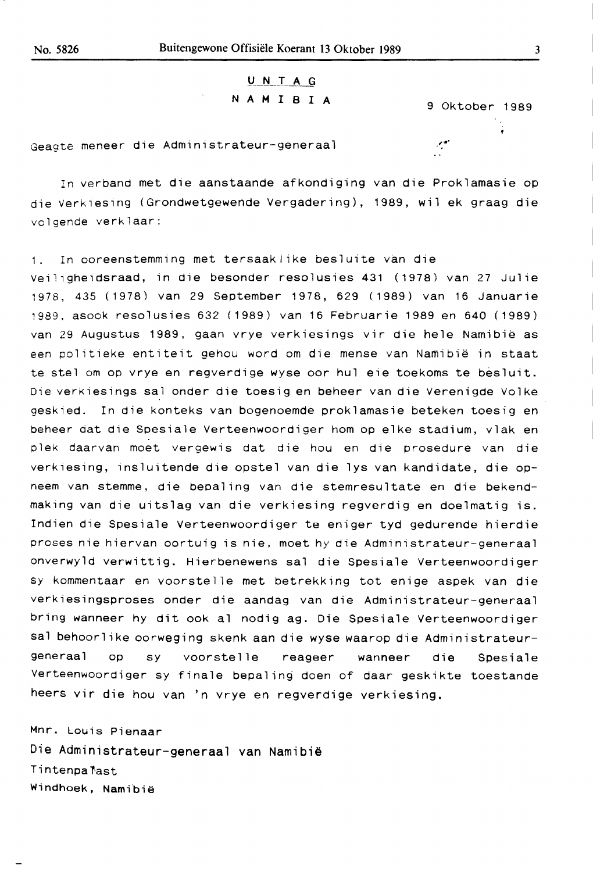## U N T **A G N A M** I **B** I **A** 9 Oktober 1989

, ..

Geagte meneer die Administrateur-generaal

In verband met die aanstaande afkondiging van die Proklamasie op die Verkiesing (Grondwetgewende Vergadering), 1989, wil ek graag die volgende verklaar:

1. In ooreenstemming met tersaaklike besluite van die veilighe1dsraad, in die besonder resolusies 431 (1978) van 27 Julie 1978, 435 (1978) van 29 September 1978, 629 (1989) van 16 Januarie 1989, asook resolusies 632 (1989) van 16 Februarie 1989 en 640 (1989) van 29 Augustus 1989, gaan vrye verkiesings vir die hele Namibië as een politieke entiteit gehou word om die mense van Namibia in staat te stel om op vrye en regverdige wyse oor hul eie toekoms te besluit. Die verkiesings sal onder die toesig en beheer van die Verenigde Volke geskied. In die konteks van bogenoemde proklamasie beteken toesig en beheer dat die Spesiale Verteenwoordiger hom op elke stadium, vlak en plek daarvan moet vergewis dat die hou en die prosedure van die verkiesing, insluitende die opstel van die lys van kandidate, die opneem van stemme, die bepaling van die stemresultate en die bekendmaking van die uitslag van die verkiesing regverdig en doelmatig is. Indien die Spesiale Verteenwoordiger te eniger tyd gedurende hierdie proses nie hiervan oortuig is nie, moet hy die Administrateur-generaal onverwyld verwittig. Hierbenewens sal die Spesiale Verteenwoordiger sy kommentaar en voorstelle met betrekking tot enige aspek van die verkiesingsproses onder die aandag van die Administrateur-generaal bring wanneer hy dit ook al nodig ag. Die Spesiale Verteenwoordiger sal behoorlike oorweging skenk aan die wyse waarop die Administrateurgeneraal op sy voorstelle reageer wanneer die Spesiale Verteenwoordiger sy finale bepaling doen of daar geskikte toestande heers vir die hou van 'n vrye en regverdige verkiesing.

Mnr. Louis Pienaar Die Administrateur-generaal van Namibië Tintenpalast Windhoek, Namibië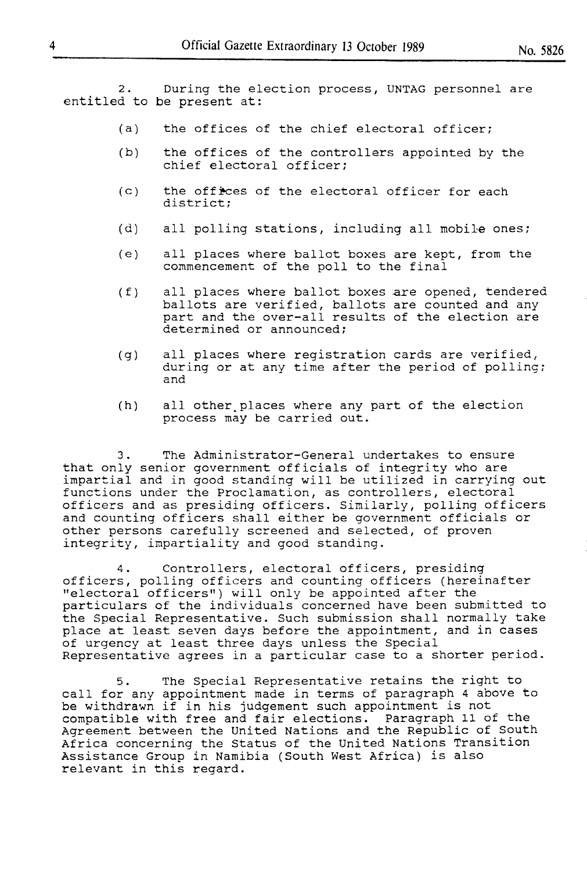2. During the election process, UNTAG personnel are entitled to be present at:

- (a) the offices of the chief electoral officer;
- (b) the offices of the controllers appointed by the chief electoral officer;
- $(c)$  the offices of the electoral officer for each district;
- (d) all polling stations, including all mobile ones;
- (e) all places where ballot boxes are kept, from the commencement of the poll to the final
- (f) all places where ballot boxes are opened, tendered ballots are verified, ballots are counted and any part and the over-all results of the election are determined or announced;
- (g) all places where registration cards are verified, during or at any time after the period of polling; and
- (h) all other.places where any part of the election process may be carried out.

3. The Administrator-General undertakes to ensure that only senior government officials of integrity who are impartial and in good standing will be utilized in carrying out functions under the Proclamation, as controllers, electoral officers and as presiding officers. Similarly, polling officers and counting officers shall either be government officials or other persons carefully screened and selected, of proven integrity, impartiality and good standing.

4. Controllers, electoral officers, presiding officers, polling officers and counting officers (hereinafter "electoral officers") will only be appointed after the particulars of the individuals concerned have been submitted to the Special Representative. Such submission shall normally take place at least seven days before the appointment, and in cases of urgency at least three days unless the Special Representative agrees in a particular case to a shorter period.

5. The Special Representative retains the right to call for any appointment made in terms of paragraph 4 above to be withdrawn if in his judgement such appointment is not compatible with free and fair elections. Paragraph 11 of the Agreement between the United Nations and the Republic of South Africa concerning the Status of the United Nations Transition **Assistance Group in Namibia (South West Africa) is also**  relevant in this regard.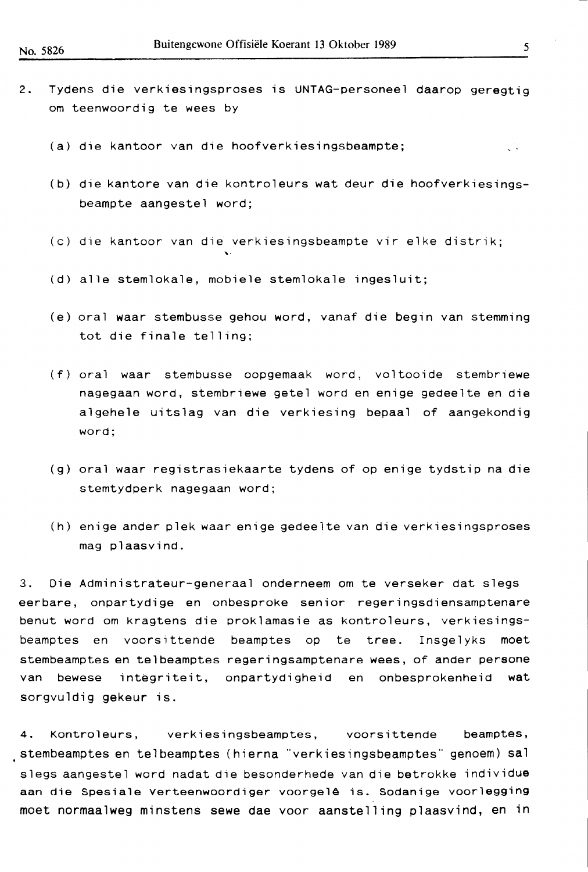- 2. Tydens die verkiesingsproses is UNTAG-personeel daarop geregtig om teenwoordig te wees by
	- (a) die kantoor van die hoofverkiesingsbeampte; ç.
	- (b) die kantore van die kontroleurs wat deur die hoofverkiesingsbeampte aangestel word;
	- (c) die kantoor van die verkiesingsbeampte vir elke distrik;
	- (d) alle stemlokale, mobiele stemlokale ingesluit;

""

- (e) oral **waar** stembusse gehou word, vanaf die begin van stemming tot die finale telling;
- (f) oral waar stembusse oopgemaak word, voltooide stembriewe nagegaan word, stembriewe getel word en enige gedeelte en die algehele uitslag van die verkiesing bepaal of aangekondig word;
- (g) oral **waar** registrasiekaarte tydens of op enige tydstip na die stemtydperk nagegaan word;
- (h) enige ander plek waar enige gedeelte van die verkiesingsproses mag plaasvind.

3. Die Administrateur-generaal onderneem om te verseker dat slegs eerbare, onpartydige en onbesproke senior regeringsdiensamptenare benut word om kragtens die proklamasie as kontroleurs, verkiesingsbeamptes en voorsittende beamptes op te tree. Insgelyks moet stembeamptes en telbeamptes regeringsamptenare wees, of ander persone van bewese integriteit, onpartydigheid en onbesprokenheid wat sorgvuldig gekeur is.

. stembeamptes en telbeamptes (hierna "verkiesingsbeamptes" genoem) sal 4. Kontroleurs, verkiesingsbeamptes, voorsittende beamptes, slegs aangestel word nadat die besonderhede van die betrokke individue aan die Spesiale Verteenwoordiger voorgelê is. Sodanige voorlegging moet normaalweg minstens sewe dae voor aanstelling plaasvind, en in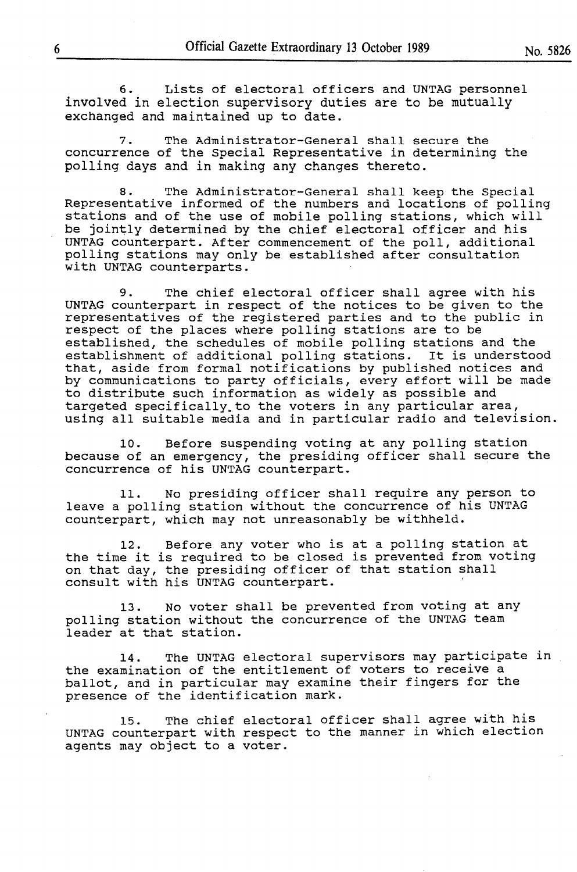6. Lists of electoral officers and UNTAG personnel involved in election supervisory duties are to be mutually exchanged and maintained up to date.

7. The Administrator-General shall secure the concurrence of the Special Representative in determining the polling days and in making any changes thereto.

8. The Administrator-General shall keep the Special Representative informed of the numbers and locations of polling stations and of the use of mobile polling stations, which will be jointly determined by the chief electoral officer and his UNTAG counterpart. After commencement of the poll, additional polling stations may only be established after consultation with UNTAG counterparts.

9. The chief electoral officer shall agree with his UNTAG counterpart in respect of the notices to be given to the representatives of the registered parties and to the public in respect of the places where polling stations are to be established, the schedules of mobile polling stations and the establishment of additional polling stations. It is understood that, aside from formal notifications by published notices and by communications to party officials, every effort will be made to distribute such information as widely as possible and targeted specifically to the voters in any particular area, edigeted specifically to the vocels in any particular disa,<br>using all suitable media and in particular radio and television.

10. Before suspending voting at any polling station because of an emergency, the presiding officer shall secure the concurrence of his UNTAG counterpart.

11. No presiding officer shall require any person to leave a polling station without the concurrence of his UNTAG counterpart, which may not unreasonably be withheld.

12. Before any voter who is at a polling station at the time it is required to be closed is prevented from voting on that day, the presiding officer of that station shall consult with his UNTAG counterpart.

13. No voter shall be prevented from voting at any polling station without the concurrence of the UNTAG team leader at that station.

14. The UNTAG electoral supervisors may participate in the examination of the entitlement of voters to receive a ballot, and in particular may examine their fingers for the presence of the identification mark.

15. The chief electoral officer shall agree with his UNTAG counterpart with respect to the manner in which election agents may object to a voter.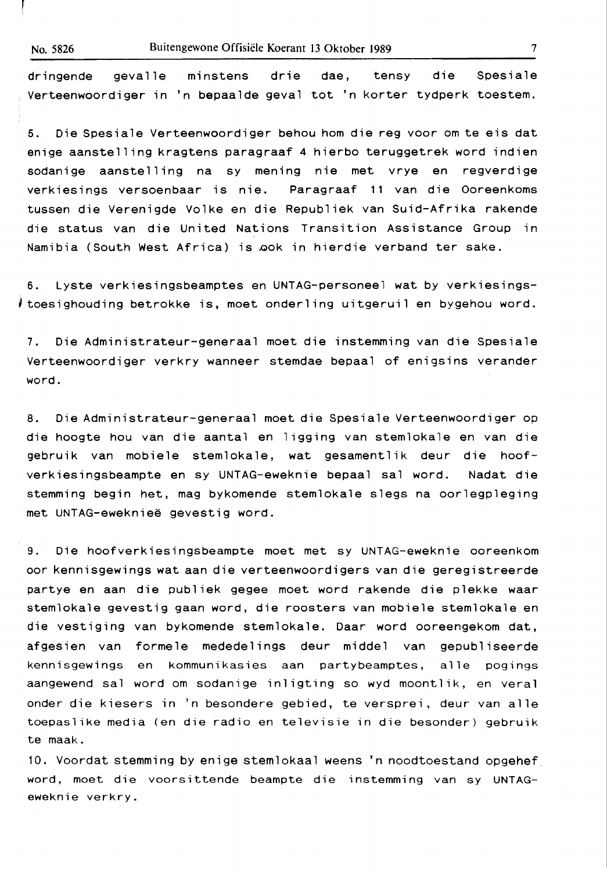dringende gevalle minstens drie dae, tensy die Spesiale Verteenwoordiger in 'n bepaalde geval tot 'n korter tydperk toestem.

5. Die Spesiale Verteenwoordiger behou horn die reg voor om te eis dat enige aanstelling kragtens paragraaf 4 hierbo teruggetrek word indien sodanige aanstelling na sy mening nie met vrye en regverdige verkiesings versoenbaar is nie. Paragraaf 11 van die Ooreenkoms tussen die Verenigde Volke en die Republiek van Suid-Afrika rakende die status van die United Nations Transition Assistance Group in Namibia (South West Africa) is QOk in hierdie verband ter sake.

6. Lyste verkiesingsbeamptes en UNTAG-personeel wat by verkiesings-1 toesighouding betrokke is, moet onderling uitgeruil en bygehou word.

7. Die Aqministrateur-generaal moet die instemming van die Spesiale Verteenwoordiger verkry wanneer stemdae bepaal of enigsins verander word.

8. Die Administrateur-generaal moet die Spesiale Verteenwoordiger op die hoogte hou van die aantal en ligging van stemlokale en van die gebruik van mobiele stemlokale, wat gesamentlik deur die hoofverkiesingsbeampte en sy UNTAG-eweknie bepaal sal word. Nadat die stemming begin het, mag bykomende stemlokale slegs na oorlegpleging met UNTAG-ewekniee gevestig word.

9. Die hoofverkiesingsbeampte moet met sy UNTAG-eweknie ooreenkom oor kennisgewings wat aan die verteenwoordigers van die geregistreerde partye en aan die publiek gegee moet word rakende die plekke waar stemlokale gevestig gaan word, die roosters van mobiele stemlokale en die vestiging van bykomende stemlokale. Daar word ooreengekom dat, afgesien van formele mededelings deur middel van gepubliseerde kennisgewings en kommunikasies aan partybeamptes, alle pogings aangewend sal word om sodanige inligting so wyd moontlik, en veral ender die kiesers in 'n besondere gebied, te versprei, deur van alle toepaslike media (en die radio en televisie in die besonder) gebruik te maak.

10. Voordat stemming by enige stemlokaal weens 'n noodtoestand opgehef word, moet die voorsittende beampte die instemming van sy UNTAG**eweknie** verkry.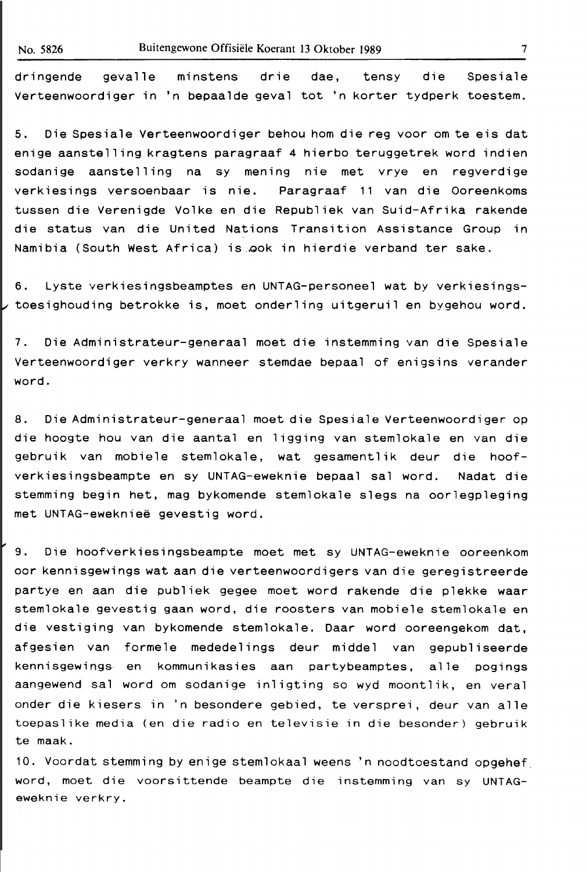dringende gevalle minstens drie dae, tensy die Spesiale Verteenwoordiger in 'n bepaalde geval tot 'n korter tydperk toestem.

5. Die Spesiale Verteenwoordiger behou horn die reg voor om te eis dat enige aanstelling kragtens paragraaf 4 hierbo teruggetrek word indien sodanige aanstelling na sy mening nie met vrye en regverdige verkiesings versoenbaar is nie. Paragraaf 11 van die Ooreenkoms tussen die Verenigde Volke en die Republiek van Suid-Afrika rakende die status van die United Nations Transition Assistance Group in Namibia (South West Africa) is ook in hierdie verband ter sake.

6. Lyste verkiesingsbeamptes en UNTAG-personeel wat by verkiesingstoesighouding betrokke is, moet onderling uitgeruil en bygehou word.

7. Die Administrateur-generaal moet die instemming van die Spesiale Verteenwoordiger verkry wanneer stemdae bepaal of enigsins verander word.

8. Die Administrateur-generaal moet die Spesiale Verteenwoordiger op die hoogte hou van die aantal en ligging van stemlokale en van die gebruik van mobiele stemlokale, wat gesamentlik deur die hoofverkiesingsbeampte en sy UNTAG-eweknie bepaal sal word. Nadat die stemming begin het, mag bykomende stemlokale slegs na oorlegpleging met UNTAG-ewekniee gevestig word.

9. Die hoofverkiesingsbeampte moet met sy UNTAG-eweknie ooreenkom oar kennisgewings wat aan die verteenwoordigers van die geregistreerde partye en aan die publiek gegee moet word rakende die plekke waar stemlokale gevestig gaan word, die roosters van mobiele stemlokale en die vestiging van bykomende stemlokale. Daar word ooreengekom dat, afgesien van formele mededelings deur middel van gepubliseerde kennisgewings en kommunikasies aan partybeamptes, alle pogings aangewend sal word om sodanige inligting so wyd moontlik, en veral ender die kiesers in 'n besondere gebied, te versprei, deur van alle toepaslike media (en die radio en televisie in die besonder) gebruik te maak.

10. Voordat stemming by enige stemlokaal weens 'n noodtoestand opgehef\_ word, moet die voorsittende beampte die instemming van sy UNTAGeweknie verkry.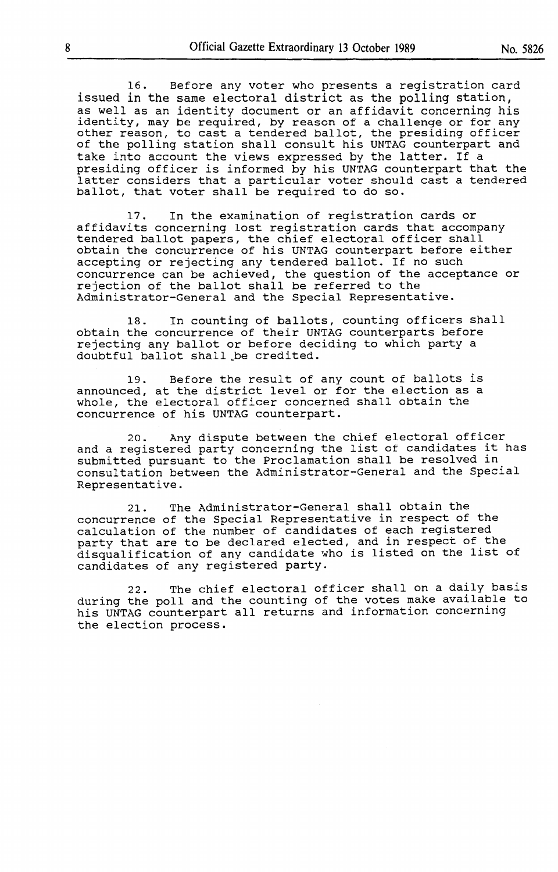16. Before any voter who presents a registration card issued in the same electoral district as the polling station, as well as an identity document or an affidavit concerning his identity, may be required, by reason of a challenge or for any other reason, to cast a tendered ballot, the presiding officer of the polling station shall consult his UNTAG counterpart and take into account the views expressed by the latter. If a presiding officer is informed by his UNTAG counterpart that the latter considers that a particular voter should cast a tendered ballot, that voter shall be required to do so.

17. In the examination of registration cards or affidavits concerning lost registration cards that accompany tendered ballot papers, the chief electoral officer shall obtain the concurrence of his UNTAG counterpart before either accepting or rejecting any tendered ballot. If no such concurrence can be achieved, the question of the acceptance or rejection of the ballot shall be referred to the Administrator-General and the Special Representative.

18. In counting of ballots, counting officers shall obtain the concurrence of their UNTAG counterparts before rejecting any ballot or before deciding to which party a doubtful ballot shall \_be credited.

19. Before the result of any count of ballots is announced, at the district level or for the election as a whole, the electoral officer concerned shall obtain the concurrence of his UNTAG counterpart.

20. Any dispute between the chief electoral officer and a registered party concerning the list of candidates it has submitted pursuant to the Proclamation shall be resolved in consultation between the Administrator-General and the Special Representative.

21. The Administrator-General shall obtain the concurrence of the Special Representative in respect of the calculation of the number of candidates of each registered party that are to be declared elected, and in respect of the party that are to be deciared elected, and in respect of the<br>disqualification of any candidate who is listed on the list of candidates of any registered party.

22. The chief electoral officer shall on a daily basis during the poll and the counting of the votes make available to his UNTAG counterpart all returns and information concerning the election process.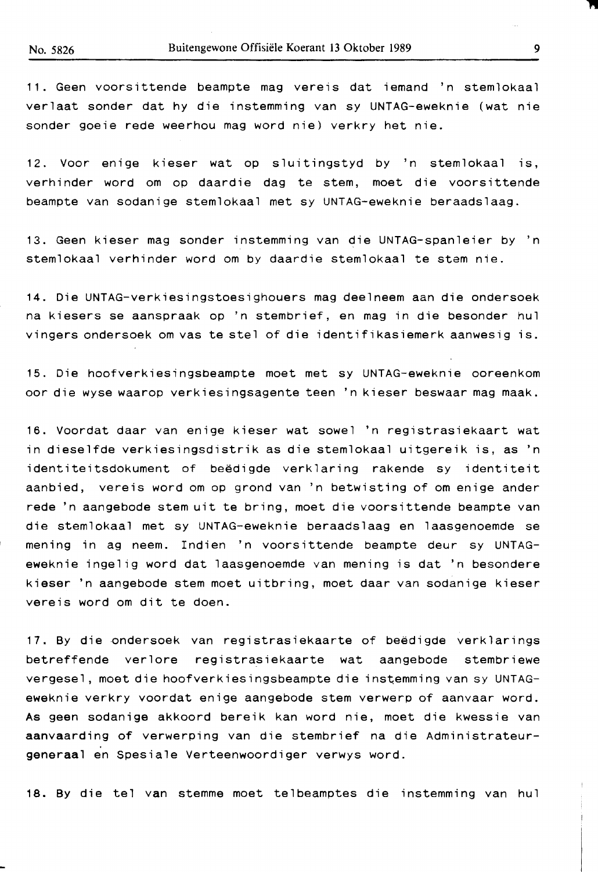11. Geen voorsittende beampte mag vereis dat iemand 'n stemlokaal verlaat sender dat hy die instemming van sy UNTAG-eweknie (wat nie sender goeie rede weerhou mag word nie) verkry het nie.

12. Voor enige kieser wat op sluitingstyd by 'n stemlokaal is, verhinder word om op daardie dag te stem, meet die voorsittende beampte van sodanige stemlokaal met sy UNTAG-eweknie beraadslaag.

13. Geen kieser mag sonder instemming van die UNTAG-spanleier by 'n stemlokaal verhinder word om by daardie stemlokaal te stem nie.

14. Die UNTAG-verkiesingstoesighouers mag deelneem aan die ondersoek na kiesers se aanspraak op 'n stembrief, en mag in die besonder hul vingers ondersoek om vas te stel of die identifikasiemerk aanwesig is.

15. Die hoofverkiesingsoeampte meet met sy UNTAG-eweknie ooreenkom oor die wyse waarop verkiesingsagente teen 'n kieser beswaar mag maak.

16. Voordat daar van enige kieser wat sowel 'n registrasiekaart wat in dieselfde verkiesingsdistrik as die stemlokaal uitgereik is, as 'n identiteitsdokument of beëdigde verklaring rakende sy identiteit aanbied, vereis word om op grond van 'n betwisting of om enige ander rede 'n aangebode stem uit te bring, meet die voorsittende beampte van die stemlokaal met sy UNTAG-eweknie beraadslaag en laasgenoemde se mening in ag neem. Indien 'n voorsittende beampte deur sy UNTAGeweknie ingelig word dat laasgenoemde van mening is dat 'n besondere kieser 'n aangebode stem meet uitbring, meet daar van sodanige kieser vereis word om dit te doen.

17. By die ondersoek van registrasiekaarte of beedigde verklarings betreffende verlore registrasiekaarte wat aangebode stembriewe vergesel, moet die hoofverkiesingsbeampte die instemming van sy UNTAGeweknie verkry voordat enige aangebode stem verwerp of aanvaar word. As geen sodanige akkoord bereik kan word nie, meet die kwessie van **aanvaarding** of verwerping van die stembrief na die Administrateur**generaal** en Spesiale Verteenwoordiger verwys word.

18. By die tel van stemme meet telbeamptes die instemming van hul

 $\overline{\phantom{a}}$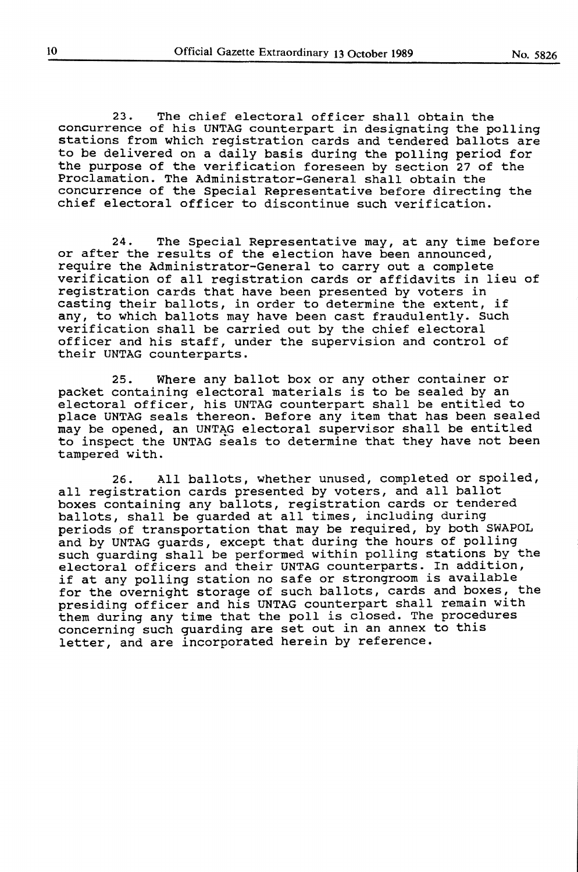23. The chief electoral officer shall obtain the concurrence of his UNTAG counterpart in designating the polling stations from which registration cards and tendered ballots are to be delivered on a daily basis during the polling period for the purpose of the verification foreseen by section 27 of the Proclamation. The Administrator-General shall obtain the concurrence of the Special Representative before directing the chief electoral officer to discontinue such verification.

24. The Special Representative may, at any time before or after the results of the election have been announced, require the Administrator-General to carry out a complete verification of all registration cards or affidavits in lieu of registration cards that have been presented by voters in casting their ballots, in order to determine the extent, if any, to which ballots may have been cast fraudulently. Such verification shall be carried out by the chief electoral officer and his staff, under the supervision and control of their UNTAG counterparts.

25. Where any ballot box or any other container or packet containing electoral materials is to be sealed by an electoral officer, his UNTAG counterpart shall be entitled to place UNTAG seals thereon. Before any item that has been sealed may be opened, an UNTAG electoral supervisor shall be entitled to inspect the UNTAG seals to determine that they have not been tampered with.

26. All ballots, whether unused, completed or spoiled, all registration cards presented by voters, and all ballot boxes containing any ballots, registration cards or tendered ballots, shall be guarded at all times, including during periods of transportation that may be required, by both SWAPOL and by UNTAG guards, except that during the hours of polling such guarding shall be performed within polling stations by the electoral officers and their UNTAG counterparts. In addition, if at any polling station no safe or strongroom is available for the overnight storage of such ballots, cards and boxes, the presiding officer and his UNTAG counterpart shall remain with presiding officer and his onthe coductions sharp roman with concerning such guarding are set out in an annex to this letter, and are incorporated herein by reference.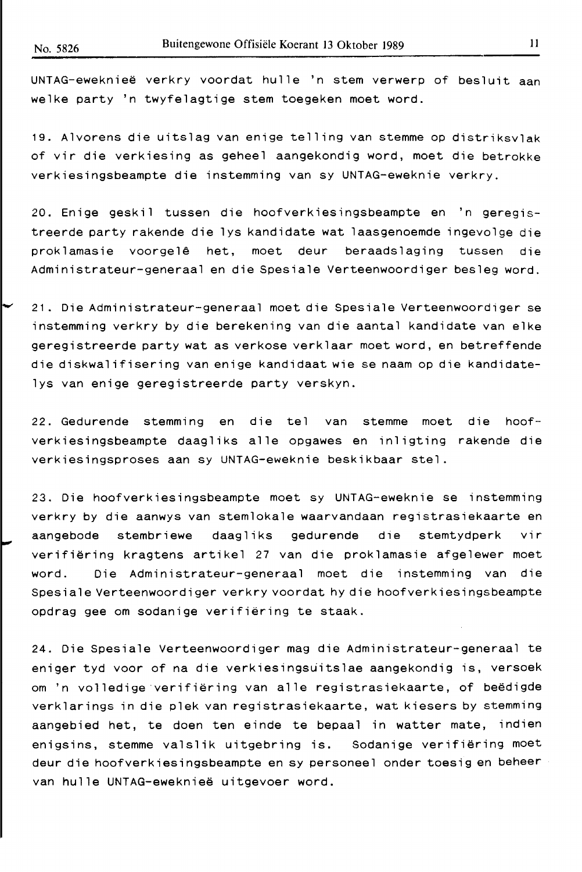UNTAG-ewekniee verkry voordat hulle 'n stem verwerp of besluit aan welke party 'n twyfelagtige stem toegeken meet word.

19. Alvorens die uitslag van enige telling van stemme op distriksvlak of vir die verkiesing as geheel aangekondig word, meet die betrokke verkiesingsbeampte die instemming van sy UNTAG-eweknie verkry.

20. Enige geskil tussen die hoofverkiesingsbeampte en 'n geregistreerde party rakende die lys kandidate wat laasgenoemde ingevolge die proklamasie voorgel~ het, meet deur beraadslaging tussen die Administrateur-generaal en die Spesiale Verteenwoordiger besleg word.

21. Die Administrateur-generaal meet die Spesiale Verteenwoordiger se instemming verkry by die berekening van die aantal kandidate van elke geregistreerde party wat as verkose verklaar meet word, en betreffende die diskwalifisering van enige kandidaat wie se naam op die kandidatelys van enige geregistreerde party verskyn.

22. Gedurende stemming en die tel van stemme meet die hoofverkiesingsbeampte daagliks alle opgawes en inligting rakende die verkiesingsproses aan sy UNTAG-eweknie beskikbaar stel.

**23. Die hoofverkiesingsbeampte meet sy UNTAG-eweknie se instemming verkry by die aanwys van stemlokale waarvandaan registrasiekaarte en aangebode stembriewe daagliks gedurende die stemtydperk vir verifiering kragtens artikel** 27 **van die proklamasie afgelewer meet word. Die Administrateur-generaal meet die instemming van die Spesiale Verteenwoordiger verkry voordat hy die hoofverkiesingsbeampte opdrag gee om sodanige verifiering te staak.** 

**24. Die Spesiale Verteenwoordiger mag die Administrateur-generaal te eniger tyd voor of na die verkiesingsuitslae aangekondig is, versoek**  om 'n volledige verifiering van alle registrasiekaarte, of beedigde verklarings in die plek van registrasiekaarte, wat kiesers by stemming aangebied het, te doen ten einde te bepaal in watter mate, indien enigsins, stemme valslik uitgebring is. Sodanige verifiering meet deur die hoofverkiesingsbeampte en sy personeel onder toesig en beheer van hulle UNTAG-ewekniee uitgevoer word.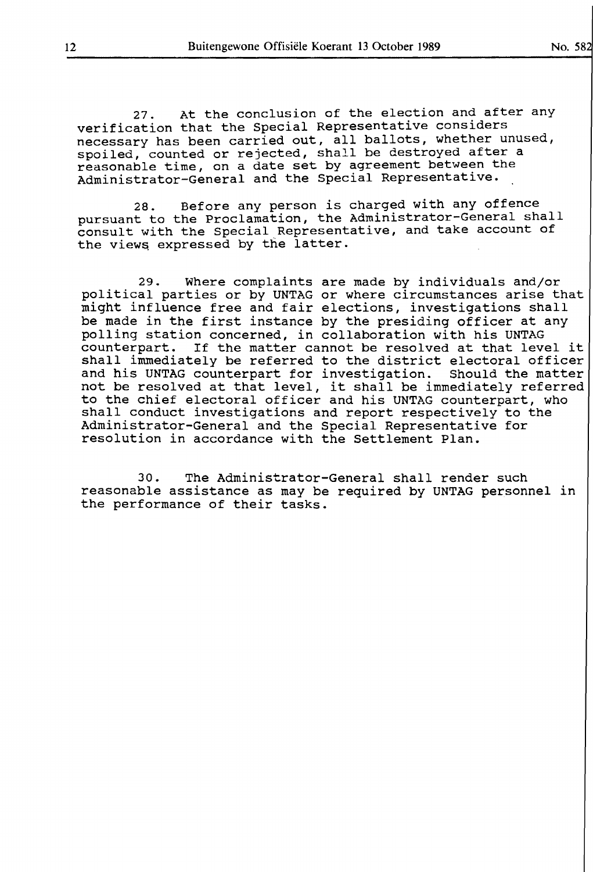27. At the conclusion of the election and after any verification that the Special Representative considers necessary has been carried out, all ballots, whether unused, spoiled, counted or rejected, shall be destroyed after a reasonable time, on a date set by agreement between the Administrator-General and the Special Representative.

28. Before any person is charged with any offence pursuant to the Proclamation, the Administrator-General shall consult with the Special Representative, and take account of the views expressed by the latter.

29. Where complaints are made by individuals and/or political parties or by UNTAG or where circumstances arise that pointing parties of by oning of which officially direct and the might influence free and fair elections, investigations shall might influence free and full erections, investigations sharp polling station concerned, in collaboration with his UNTAG counterpart. If the matter cannot be resolved at that level it shall immediately be referred to the district electoral officer and his UNTAG counterpart for investigation. Should the matter not be resolved at that level, it shall be immediately referred to the chief electoral officer and his UNTAG counterpart, who shall conduct investigations and report respectively to the Administrator-General and the Special Representative for resolution in accordance with the Settlement Plan.

30. The Administrator-General shall render such reasonable assistance as may be required by UNTAG personnel in the performance of their tasks.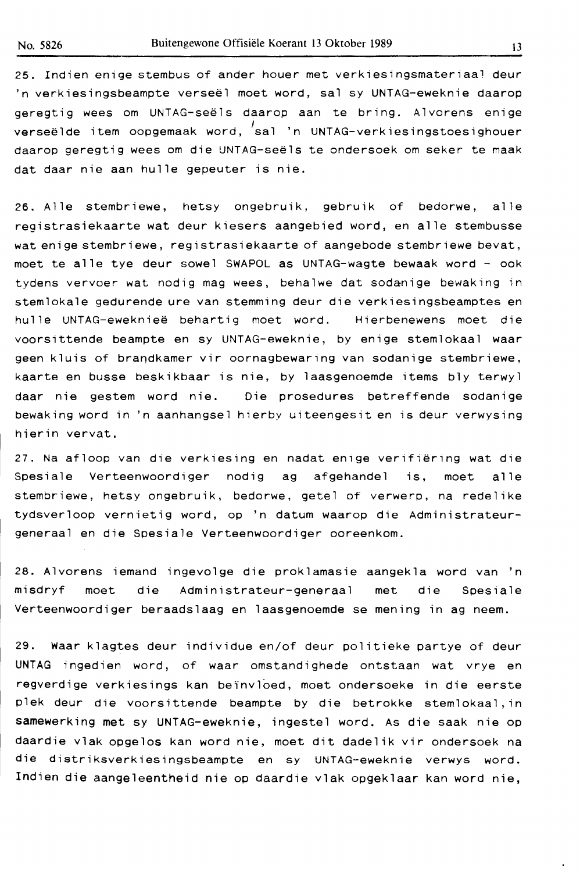25. Indien enige stembus of ander houer met verkiesingsmateriaa! deur 'n verkiesingsbeampte verseël moet word, sal sy UNTAG-eweknie daarop geregtig wees om UNTAG-seels daarop aan te bring. Alvorens enige verseëlde item oopgemaak word, 'sal 'n UNTAG-verkiesingstoesighouer daarop geregtig wees om die UNTAG-seels te ondersoek om seker te maak dat daar nie aan hulle gepeuter is nie.

26. Alle stembriewe, hetsy ongebruik, gebruik of bedorwe, alle registrasiekaarte wat deur kiesers aangebied word, en alle stembusse wat enige stembriewe, registrasiekaarte of aangebode stembriewe bevat, moet te alle tye deur sowel SWAPOL as UNTAG-wagte bewaak word - oak tydens vervoer wat nodig mag wees, behalwe dat sodanige bewaking in stemlokale gedurende ure van stemming deur die verkiesingsbeamptes en hulle UNTAG-eweknieë behartig moet word. Hierbenewens moet die voorsittende beampte en sy UNTAG-eweknie, by enige stemlokaal waar geen kluis of brandkamer vir oornagbewaring van sodanige stembriewe, kaarte en busse beskikbaar is nie, by laasgenoemde items bly terwyl daar nie gestem word nie. Die prosedures betreffende sodanige bewaking word in 'n aanhangsel hierby uiteengesit en is deur verwysing hierin vervat.

27. Na afloop van die verkiesing en nadat enige verifiering wat die Spesiale Verteenwoordiger nodig ag afgehandel is, moet alle stembriewe, hetsy ongebruik, bedorwe, getel of verwerp, na redelike tydsverloop vernietig word, op 'n datum waarop die Administrateurgeneraal en die Spesiale Verteenwoordiger ooreenkom.

28. Alvorens iemand ingevolge die proklamasie aangekla word van 'n misdryf moet die Administrateur-generaal met die Spesiale Verteenwoordiger beraadslaag en laasgenoemde se mening in ag neem.

29. Waar klagtes deur individue en/of deur politieke partye of deur UNTAG ingedien word, of waar omstandighede ontstaan wat vrye en regverdige verkiesings kan beïnvloed, moet ondersoeke in die eerste plek deur die voorsittende beampte by die betrokke stemlokaal, in samewerking met sy UNTAG-eweknie, ingestel word. As die saak nie op daardie vlak opgelos kan word nie, moet dit dadelik vir ondersoek na die distriksverkiesingsbeampte en sy UNTAG-eweknie verwys word. Indien die aangeleentheid nie op daardie vlak opgeklaar kan word nie,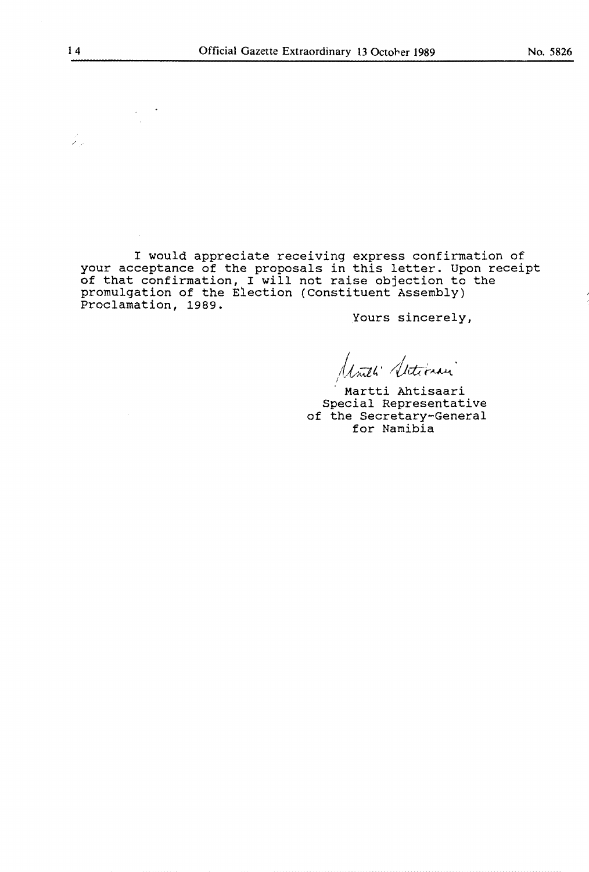I would appreciate receiving express confirmation of your acceptance of the proposals in this letter. Upon receipt of that confirmation, I will not raise objection to the promulgation of the Election (Constituent Assembly) Proclamation, 1989.

Yours sincerely,

Inth' Stetimen

Martti Ahtisaari Special Representative of the Secretary-General for Namibia

L)<br>Kal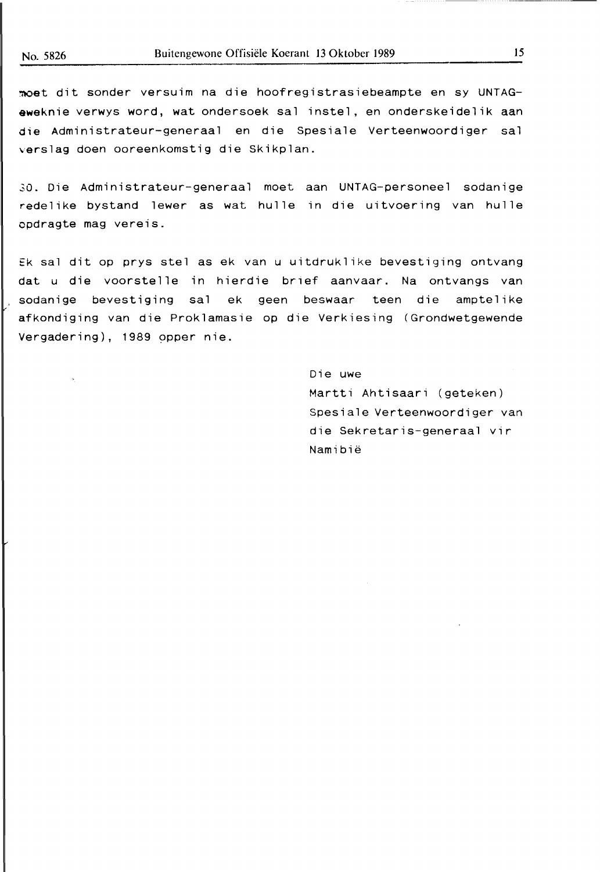moet dit sonder versuim na die hoofregistrasiebeampte en sy UNTAG**eweknie** verwys word, wat ondersoek sal instel, en onderskeidelik aan die Administrateur-generaal en die Spesiale Verteenwoordiger sal verslag doen ooreenkomstig die Skikplan.

30. Die Administrateur-generaal moet aan UNTAG-personeel sodanige redelike bystand lewer as wat hulle in die uitvoering van hulle opdragte mag vereis.

Ek sal dit op prys stel as ek van u uitdruklike bevestiging ontvang dat u die voorstel le in hierdie brief aanvaar. Na ontvangs van , sodanige bevestiging sal ek geen beswaar teen die amptelike afkondiging van die Proklamasie op die Verkiesing (Grondwetgewende Vergadering), 1989 opper nie.

> Die uwe Martti Ahtisaari (geteken) Spesiale Verteenwoordiger van die Sekretaris-generaal vir Namibie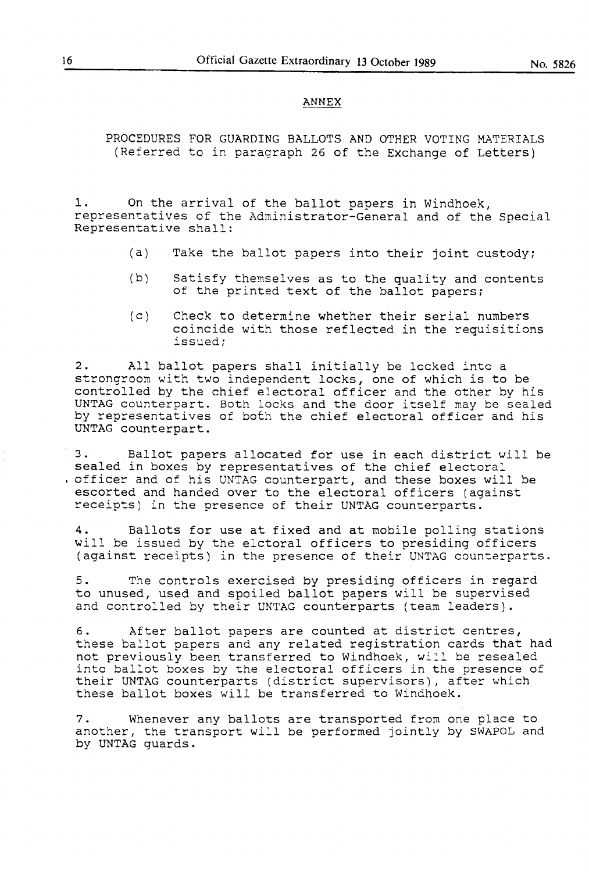#### **ANNEX**

PROCEDURES FOR GUARDING BALLOTS AND OTHER VOTING MATERIALS (Referred to in paragraph 26 of the Exchange of Letters)

1. On the arrival of the ballot papers in Windhoek, representatives of the Administrator-General and of the Special Representative shall:

- (a) Take the ballot papers into their joint custody;
- (b) Satisfy themselves as to the quality and contents of the printed text of the ballot papers;
- (c) Check to determine whether their serial numbers coincide with those reflected in the requisitions issued;

2. All ballot papers shall initially be locked into a strongroom with two independent locks, one of which is to be controlled by the chief electoral officer and the other by his Concretica by the chief efectoral officer and the other by his by representatives of both the chief electoral officer and his UNTAG counterpart.

3. .Ballot papers allocated for use in each district will be sealed in boxes by representatives of the chief electoral . officer and of his UNTAG counterpart, and these boxes will be escorted and handed over to the electoral officers (against receipts) in the presence of their UNTAG counterparts.

4. Ballots for use at fixed and at mobile polling stations will be issued by the elctoral officers to presiding officers (against receipts) in the presence of their UNTAG counterparts.

5. The controls exercised by presiding officers in regard to unused, used and spoiled ballot papers will be supervised and controlled by their UNTAG counterparts (team leaders).

6. After ballot papers are counted at district centres, these ballot papers and any related registration cards that had not previously been transferred to Windhoek, will be resealed into ballot boxes by the electoral officers in the presence of their UNTAG counterparts (district supervisors), after which these ballot boxes will be transferred to Windhoek.

7. Whenever any ballots are transported from one place to another, the transport will be performed jointly by SWAPOL and by UNTAG guards.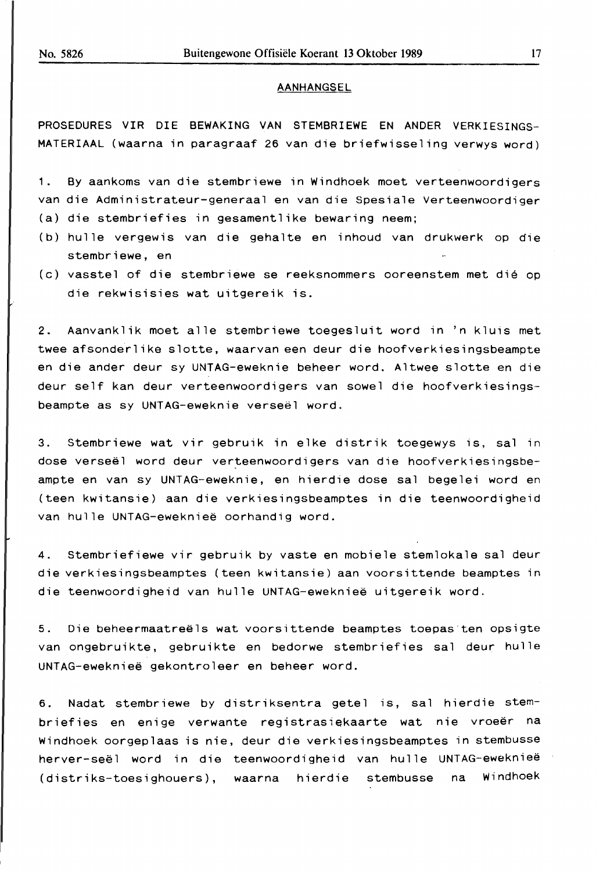#### AANHANGSEL

PROSEDURES VIR DIE BEWAKING VAN STEMBRIEWE EN ANDER VERKIESINGS-MATERIAAL (waarna in paragraaf 26 van die briefwisseling verwys word)

1. By aankoms van die stembriewe in Windhoek moet verteenwoordigers van die Administrateur-generaal en van die Spesiale Verteenwoordiger (a) die stembriefies in gesamentlike bewaring neem;

- (b) hulle vergewis van die gehalte en inhoud van drukwerk op die stembriewe, en
- (c) vasstel of die stembriewe se reeksnommers ooreenstem met die op die rekwisisies wat uitgereik is.

2. Aanvanklik moet alle stembriewe toegesluit word in 'n kluis met twee afsonderlike slotte, waarvan een deur die hoofverkiesingsbeampte en die ander deur sy UNTAG-eweknie beheer word. Altwee slotte en die deur self kan deur verteenwoordigers van sowel die hoofverkiesingsbeampte as sy UNTAG-eweknie verseel word.

3. Stembriewe wat vir gebruik in elke distrik toegewys is, sal in dose verseël word deur verteenwoordigers van die hoofverkiesingsbeampte en van sy UNTAG-eweknie, en hierdie dose sal begelei word en (teen kwitansie) aan die verkiesingsbeamptes in die teenwoordigheid van hulle UNTAG-ewekniee oorhandig word.

4. Stembriefiewe vir gebruik by vaste en mobiele stemlokale sal deur die verkiesingsbeamptes (teen kwitansie) aan voorsittende beamptes in die teenwoordigheid van hulle UNTAG-ewekniee uitgereik word.

5. Die beheermaatreels wat voorsittende beamptes toepas ten opsigte van ongebruikte, gebruikte en bedorwe stembriefies sal deur hulle UNTAG-ewekniee gekontroleer en beheer word.

6. Nadat stembriewe by distriksentra getel is, sal hierdie stembriefies en enige verwante registrasiekaarte wat nie vroeër na Windhoek oorgeplaas is nie, deur die verkiesingsbeamptes in stembusse herver-seël word in die teenwoordigheid van hulle UNTAG-eweknieë (distriks-toesighouers), waarna hierdie stembusse na Windhoek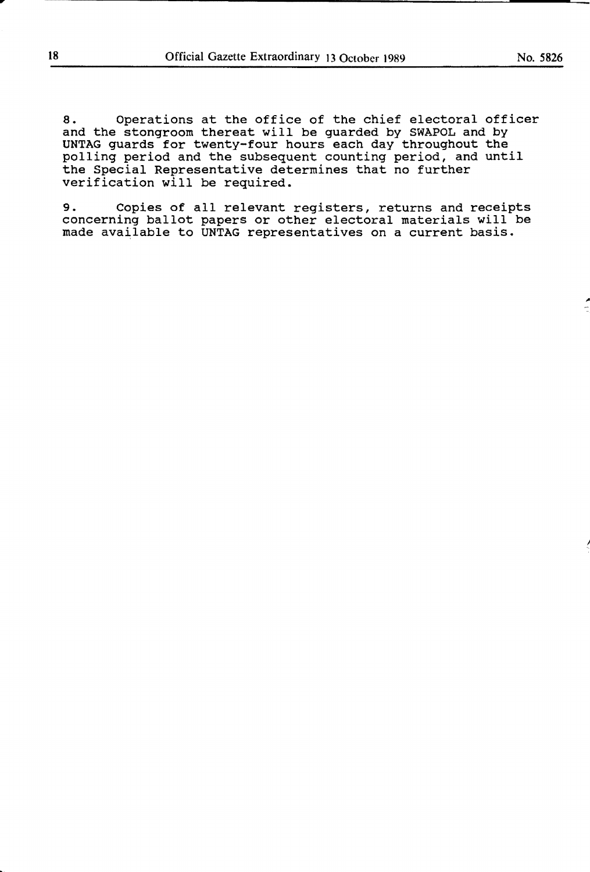8. Operations at the office of the chief electoral officer and the stongroom thereat will be guarded by SWAPOL and by **UNTAG** guards for twenty-four hours each day throughout the polling period and the subsequent counting period, and until the Special Representative determines that no further verification will be required.

9. Copies of all relevant registers, returns and receipts concerning ballot papers or other electoral materials will be made available to UNTAG representatives on a current basis.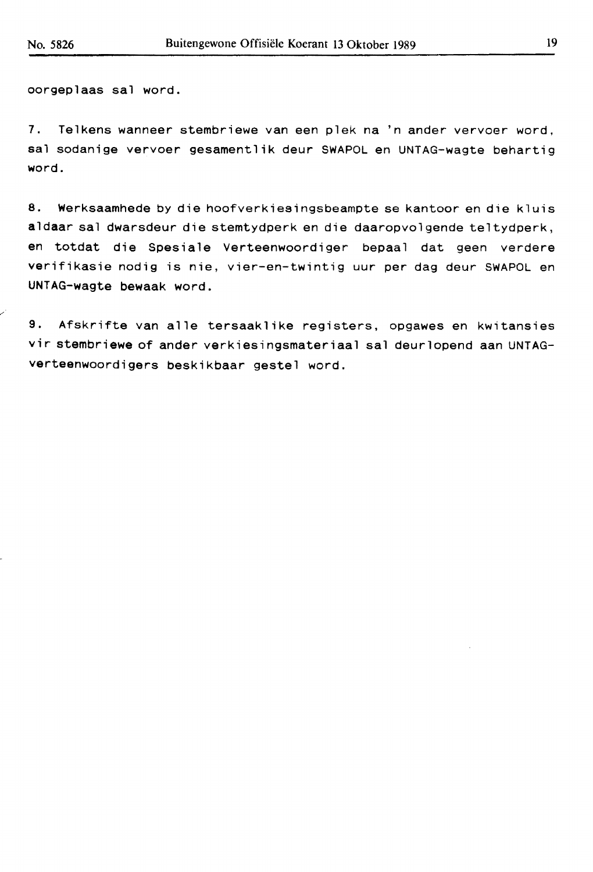oorgeplaas sal word.

7. Telkens wanneer stembriewe van een plek na 'n ander vervoer word, sal sodanige vervoer gesamentlik deur SWAPOL en UNTAG-wagte behartig word.

8. Werksaamhede by die hoofverkiesingsbeampte se kantoor en die kluis aldaar sal dwarsdeur die stemtydperk en die daaropvolgende teltydperk, en totdat die Spesiale Verteenwoordiger bepaal dat geen verdere verifikasie nodig is nie, vier-en-twintig uur per dag deur SWAPOL en UNTAG-wagte bewaak word.

9. Afskrifte van alle tersaaklike registers, opgawes en kwitansies vir stembriewe of ander verkiesingsmateriaal sal deurlopend aan UNTAGverteenwoordigers beskikbaar gestel word.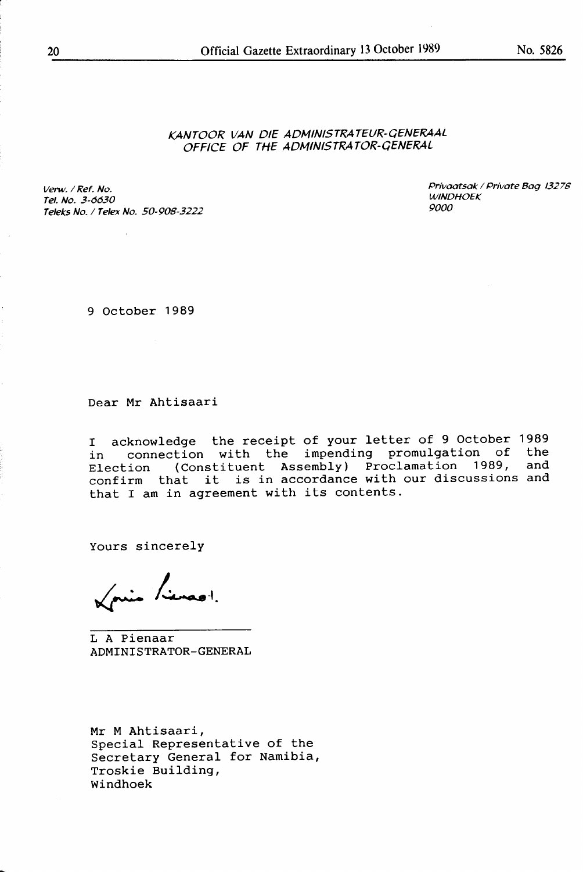### KANTOOR VAN DIE ADMINISTRA TEUR-QENERAAL OFFICE OF THE ADMINISTRATOR-GENERAL

Verw. / Ref. No. Tel. No. 3-6630 Teleks No. / Telex No. 50-908-3222 9000

Privaatsak / Private Bag 13278 **WINDHOEK** 

9 October 1989

Dear Mr Ahtisaari

I acknowledge the receipt of your letter of 9 October 1989 in connection with the impending promulgation of the in connection with the impending promulgation of<br>Election (Constituent Assembly) Proclamation 1989, Election (Constituent Assembly) Proclamation 1909, and<br>confirm that it is in accordance with our discussions and that I am in agreement with its contents. and

Yours sincerely

Vais Linest.

LA Pienaar **ADMINISTRATOR-GENERAL** 

Mr M Ahtisaari, Special Representative of the Secretary General for Namibia, Troskie Building, **Windhoek**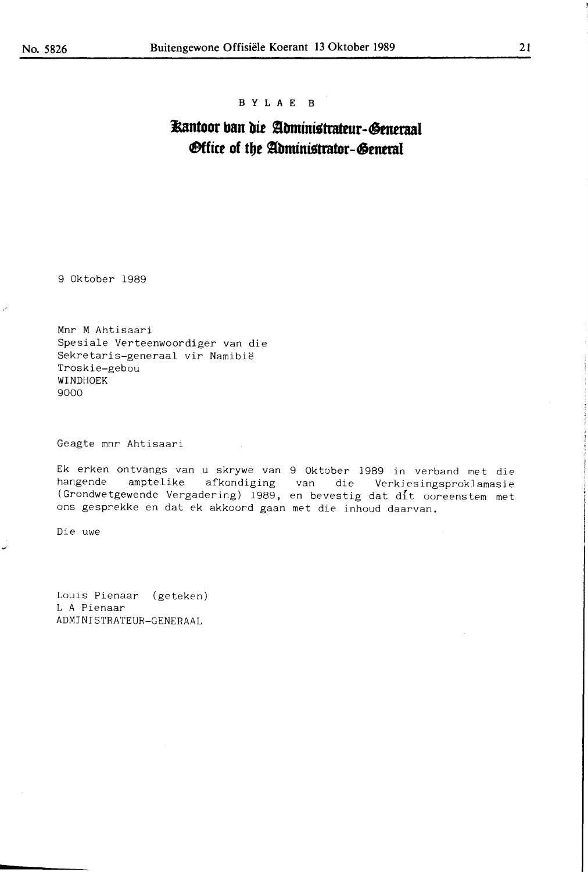#### **B Y L A** E **B**

## **Kantoor ban die Administrateur-Generaal** *<u>Office</u>* of the Administrator-General

9 Oktober 1989

Mnr **M** Ahtisaari Spesiale Verteenwoordiger van die Sekretaris-generaal vir Namibie Troskie-gebou WINDHOEK 9000

Geagte mnr Ahtisaari

Ek erken ontvangs van u skrywe van 9 Oktober 1989 in verband met die hangende amptelike afkondiging van die Verkiesingsproklamasie (Grondwetgewende Vergadering) 1989, en bevestig dat dit ooreenstem met ons gesprekke en dat ek akkoord gaan met die inhoud daarvan.

Die uwe

Louis Pienaar (geteken) LA Pienaar ADMINJSTRATEUR-GENERAAL